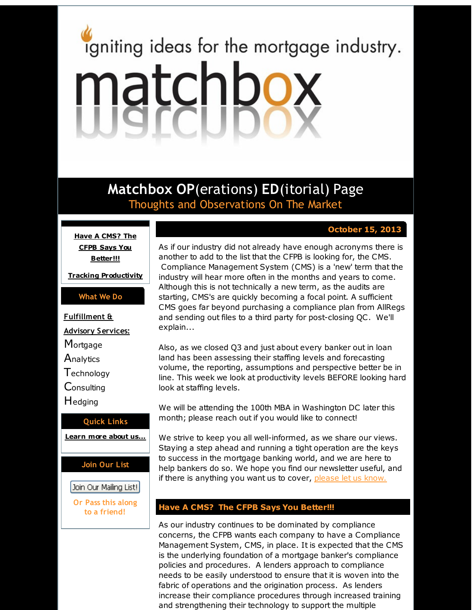# <span id="page-0-0"></span>igniting ideas for the mortgage industry. matchbox

**Matchbox OP**(erations) **ED**(itorial) Page Thoughts and Observations On The Market

# **October 15, 2013**

**Have A CMS? The CFPB Says You [Better!!!](#page-0-0)**

**Tracking [Productivity](#page-0-0)**

### **What We Do**

**Fulfillment &**

**Advisory Services:**

**Mortgage** 

**Analytics** 

**T**echnology

**Consulting** 

Hedging

### **Quick Links**

**[Learn](http://r20.rs6.net/tn.jsp?f=001oqKQnmtfbs9hwThTZVEFJ8_x4D28MK7KMIGoYgPVdJ6V_71KPjlu7sQF9kH2iGLzxV27uoVLWa1dc2bcoysnu7rcuzXT2C5IaGojp93IVw1ZbzQeprvREkhD_T3VRknIypxD0tdbqwK4rsQT6TVstyVzzmwDJdBk9iwgbFDJlEnqMPr7a5RhAw==&c=&ch=) more about u[s...](http://r20.rs6.net/tn.jsp?f=001oqKQnmtfbs9hwThTZVEFJ8_x4D28MK7KMIGoYgPVdJ6V_71KPjlu7sQF9kH2iGLzxV27uoVLWa1dc2bcoysnu7rcuzXT2C5IaGojp93IVw1ZbzQeprvREkhD_T3VRknIypxD0tdbqwK4rsQT6TVstyVzzmwDJdBk9iwgbFDJlEnqMPr7a5RhAw==&c=&ch=)**

**Join Our List**

Join Our Mailing List!

**Or Pass this along to a friend!**

As if our industry did not already have enough acronyms there is another to add to the list that the CFPB is looking for, the CMS. Compliance Management System (CMS) is a 'new' term that the industry will hear more often in the months and years to come. Although this is not technically a new term, as the audits are starting, CMS's are quickly becoming a focal point. A sufficient CMS goes far beyond purchasing a compliance plan from AllRegs and sending out files to a third party for post-closing QC. We'll explain...

Also, as we closed Q3 and just about every banker out in loan land has been assessing their staffing levels and forecasting volume, the reporting, assumptions and perspective better be in line. This week we look at productivity levels BEFORE looking hard look at staffing levels.

We will be attending the 100th MBA in Washington DC later this month; please reach out if you would like to connect!

We strive to keep you all well-informed, as we share our views. Staying a step ahead and running a tight operation are the keys to success in the mortgage banking world, and we are here to help bankers do so. We hope you find our newsletter useful, and if there is anything you want us to cover, [please](http://r20.rs6.net/tn.jsp?f=001oqKQnmtfbs9hwThTZVEFJ8_x4D28MK7KMIGoYgPVdJ6V_71KPjlu7rCucLavoZa4eVUv0SZji5LDdxFgwOtGXNw1deDU0at80TeNoi7_p9x0qdygoYyTrzkJocpYTl1HFw7RIxjIX-FBB4Ch92lKTdv-mwH7CxblE_0VJvkqALfMsS35Sxr-W6J6SHzC9R94&c=&ch=) let us know.

## **Have A CMS? The CFPB Says You Better!!!**

As our industry continues to be dominated by compliance concerns, the CFPB wants each company to have a Compliance Management System, CMS, in place. It is expected that the CMS is the underlying foundation of a mortgage banker's compliance policies and procedures. A lenders approach to compliance needs to be easily understood to ensure that it is woven into the fabric of operations and the origination process. As lenders increase their compliance procedures through increased training and strengthening their technology to support the multiple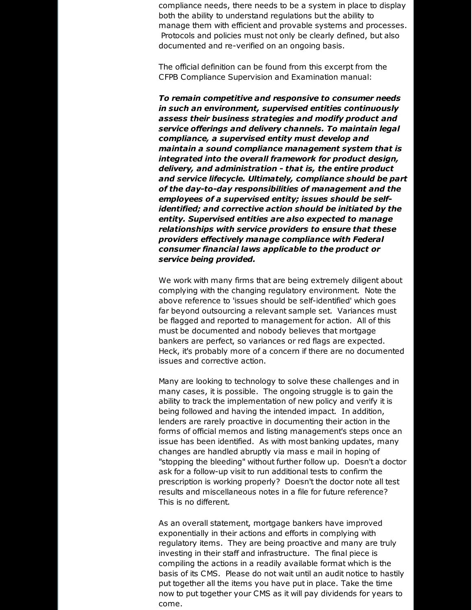compliance needs, there needs to be a system in place to display both the ability to understand regulations but the ability to manage them with efficient and provable systems and processes. Protocols and policies must not only be clearly defined, but also documented and re-verified on an ongoing basis.

The official definition can be found from this excerpt from the CFPB Compliance Supervision and Examination manual:

*To remain competitive and responsive to consumer needs in such an environment, supervised entities continuously assess their business strategies and modify product and service offerings and delivery channels. To maintain legal compliance, a supervised entity must develop and maintain a sound compliance management system that is integrated into the overall framework for product design, delivery, and administration - that is, the entire product and service lifecycle. Ultimately, compliance should be part of the day-to-day responsibilities of management and the employees of a supervised entity; issues should be selfidentified; and corrective action should be initiated by the entity. Supervised entities are also expected to manage relationships with service providers to ensure that these providers effectively manage compliance with Federal consumer financial laws applicable to the product or service being provided.*

We work with many firms that are being extremely diligent about complying with the changing regulatory environment. Note the above reference to 'issues should be self-identified' which goes far beyond outsourcing a relevant sample set. Variances must be flagged and reported to management for action. All of this must be documented and nobody believes that mortgage bankers are perfect, so variances or red flags are expected. Heck, it's probably more of a concern if there are no documented issues and corrective action.

Many are looking to technology to solve these challenges and in many cases, it is possible. The ongoing struggle is to gain the ability to track the implementation of new policy and verify it is being followed and having the intended impact. In addition, lenders are rarely proactive in documenting their action in the forms of official memos and listing management's steps once an issue has been identified. As with most banking updates, many changes are handled abruptly via mass e mail in hoping of "stopping the bleeding" without further follow up. Doesn't a doctor ask for a follow-up visit to run additional tests to confirm the prescription is working properly? Doesn't the doctor note all test results and miscellaneous notes in a file for future reference? This is no different.

As an overall statement, mortgage bankers have improved exponentially in their actions and efforts in complying with regulatory items. They are being proactive and many are truly investing in their staff and infrastructure. The final piece is compiling the actions in a readily available format which is the basis of its CMS. Please do not wait until an audit notice to hastily put together all the items you have put in place. Take the time now to put together your CMS as it will pay dividends for years to come.